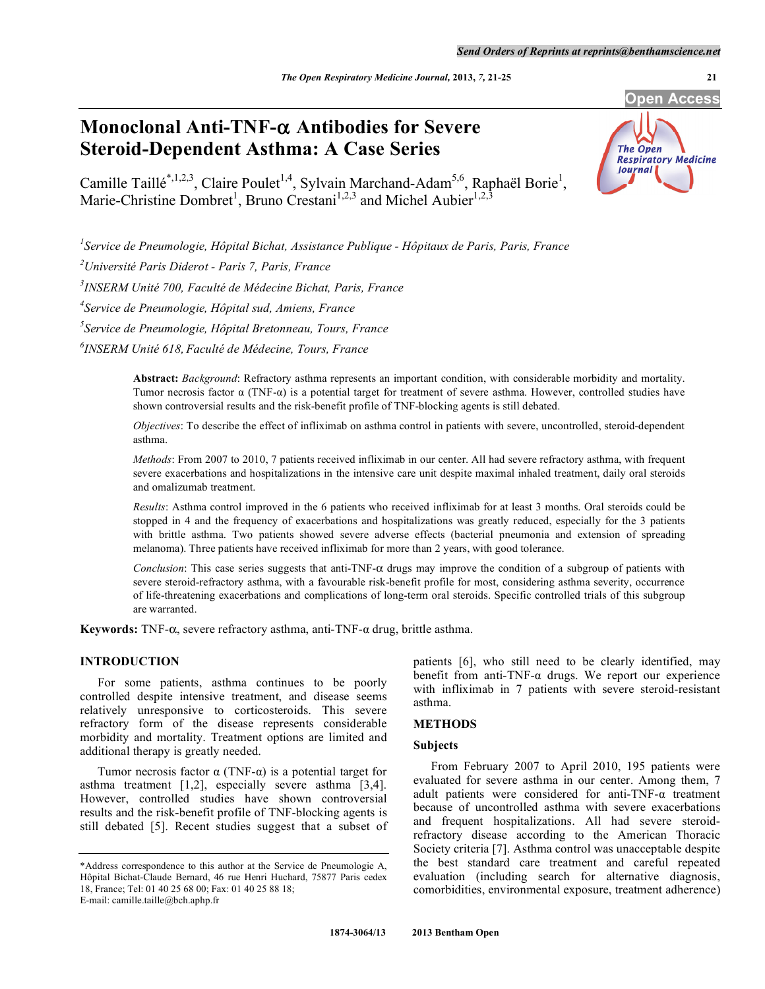# **Monoclonal Anti-TNF- Antibodies for Severe Steroid-Dependent Asthma: A Case Series**

Camille Taillé<sup>\*,1,2,3</sup>, Claire Poulet<sup>1,4</sup>, Sylvain Marchand-Adam<sup>5,6</sup>, Raphaël Borie<sup>1</sup>, Marie-Christine Dombret<sup>1</sup>, Bruno Crestani<sup>1,2,3</sup> and Michel Aubier<sup>1,2,3</sup>

*1 Service de Pneumologie, Hôpital Bichat, Assistance Publique - Hôpitaux de Paris, Paris, France* 

*2 Université Paris Diderot - Paris 7, Paris, France* 

*3 INSERM Unité 700, Faculté de Médecine Bichat, Paris, France* 

*4 Service de Pneumologie, Hôpital sud, Amiens, France* 

*5 Service de Pneumologie, Hôpital Bretonneau, Tours, France* 

*6 INSERM Unité 618, Faculté de Médecine, Tours, France* 

**Abstract:** *Background*: Refractory asthma represents an important condition, with considerable morbidity and mortality. Tumor necrosis factor  $\alpha$  (TNF- $\alpha$ ) is a potential target for treatment of severe asthma. However, controlled studies have shown controversial results and the risk-benefit profile of TNF-blocking agents is still debated.

*Objectives*: To describe the effect of infliximab on asthma control in patients with severe, uncontrolled, steroid-dependent asthma.

*Methods*: From 2007 to 2010, 7 patients received infliximab in our center. All had severe refractory asthma, with frequent severe exacerbations and hospitalizations in the intensive care unit despite maximal inhaled treatment, daily oral steroids and omalizumab treatment.

*Results*: Asthma control improved in the 6 patients who received infliximab for at least 3 months. Oral steroids could be stopped in 4 and the frequency of exacerbations and hospitalizations was greatly reduced, especially for the 3 patients with brittle asthma. Two patients showed severe adverse effects (bacterial pneumonia and extension of spreading melanoma). Three patients have received infliximab for more than 2 years, with good tolerance.

*Conclusion*: This case series suggests that anti-TNF- $\alpha$  drugs may improve the condition of a subgroup of patients with severe steroid-refractory asthma, with a favourable risk-benefit profile for most, considering asthma severity, occurrence of life-threatening exacerbations and complications of long-term oral steroids. Specific controlled trials of this subgroup are warranted.

**Keywords:** TNF- $\alpha$ , severe refractory asthma, anti-TNF- $\alpha$  drug, brittle asthma.

# **INTRODUCTION**

 For some patients, asthma continues to be poorly controlled despite intensive treatment, and disease seems relatively unresponsive to corticosteroids. This severe refractory form of the disease represents considerable morbidity and mortality. Treatment options are limited and additional therapy is greatly needed.

Tumor necrosis factor  $\alpha$  (TNF- $\alpha$ ) is a potential target for asthma treatment [1,2], especially severe asthma [3,4]. However, controlled studies have shown controversial results and the risk-benefit profile of TNF-blocking agents is still debated [5]. Recent studies suggest that a subset of patients [6], who still need to be clearly identified, may benefit from anti-TNF- $\alpha$  drugs. We report our experience with infliximab in 7 patients with severe steroid-resistant asthma.

#### **METHODS**

#### **Subjects**

 From February 2007 to April 2010, 195 patients were evaluated for severe asthma in our center. Among them, 7 adult patients were considered for anti-TNF- $\alpha$  treatment because of uncontrolled asthma with severe exacerbations and frequent hospitalizations. All had severe steroidrefractory disease according to the American Thoracic Society criteria [7]. Asthma control was unacceptable despite the best standard care treatment and careful repeated evaluation (including search for alternative diagnosis, comorbidities, environmental exposure, treatment adherence)



<sup>\*</sup>Address correspondence to this author at the Service de Pneumologie A, Hôpital Bichat-Claude Bernard, 46 rue Henri Huchard, 75877 Paris cedex 18, France; Tel: 01 40 25 68 00; Fax: 01 40 25 88 18; E-mail: camille.taille@bch.aphp.fr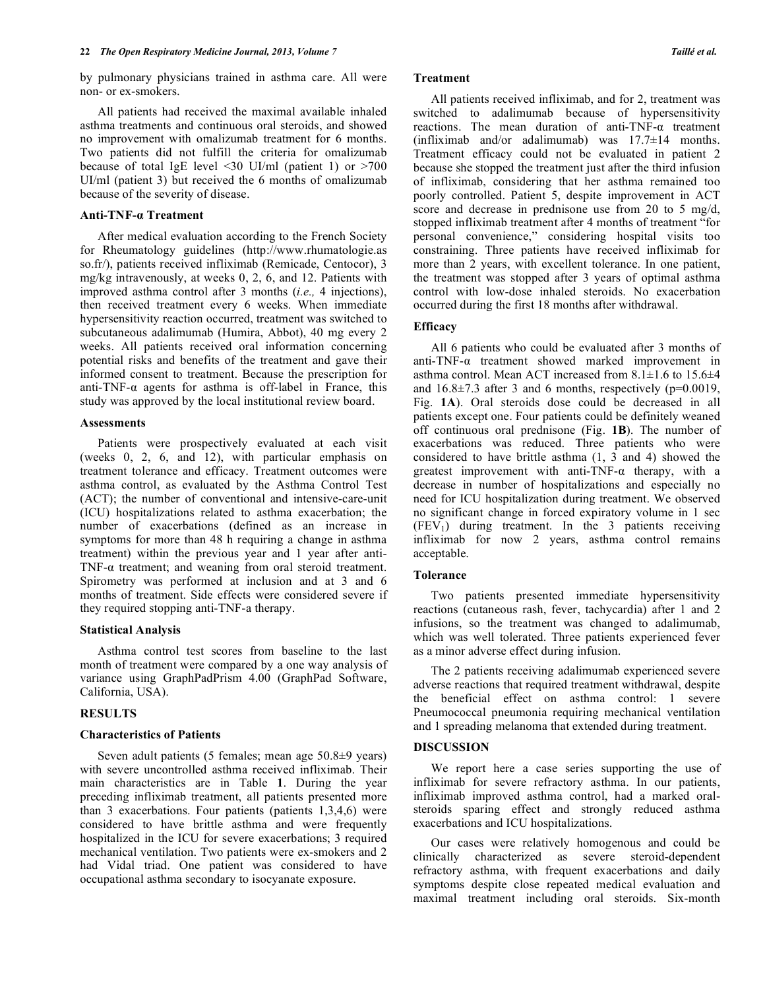by pulmonary physicians trained in asthma care. All were non- or ex-smokers.

 All patients had received the maximal available inhaled asthma treatments and continuous oral steroids, and showed no improvement with omalizumab treatment for 6 months. Two patients did not fulfill the criteria for omalizumab because of total IgE level <30 UI/ml (patient 1) or >700 UI/ml (patient 3) but received the 6 months of omalizumab because of the severity of disease.

#### **Anti-TNF- Treatment**

 After medical evaluation according to the French Society for Rheumatology guidelines (http://www.rhumatologie.as so.fr/), patients received infliximab (Remicade, Centocor), 3 mg/kg intravenously, at weeks 0, 2, 6, and 12. Patients with improved asthma control after 3 months (*i.e.,* 4 injections), then received treatment every 6 weeks. When immediate hypersensitivity reaction occurred, treatment was switched to subcutaneous adalimumab (Humira, Abbot), 40 mg every 2 weeks. All patients received oral information concerning potential risks and benefits of the treatment and gave their informed consent to treatment. Because the prescription for anti-TNF- $\alpha$  agents for asthma is off-label in France, this study was approved by the local institutional review board.

#### **Assessments**

 Patients were prospectively evaluated at each visit (weeks 0, 2, 6, and 12), with particular emphasis on treatment tolerance and efficacy. Treatment outcomes were asthma control, as evaluated by the Asthma Control Test (ACT); the number of conventional and intensive-care-unit (ICU) hospitalizations related to asthma exacerbation; the number of exacerbations (defined as an increase in symptoms for more than 48 h requiring a change in asthma treatment) within the previous year and 1 year after anti-TNF- $\alpha$  treatment; and weaning from oral steroid treatment. Spirometry was performed at inclusion and at 3 and 6 months of treatment. Side effects were considered severe if they required stopping anti-TNF-a therapy.

#### **Statistical Analysis**

 Asthma control test scores from baseline to the last month of treatment were compared by a one way analysis of variance using GraphPadPrism 4.00 (GraphPad Software, California, USA).

# **RESULTS**

# **Characteristics of Patients**

 Seven adult patients (5 females; mean age 50.8±9 years) with severe uncontrolled asthma received infliximab. Their main characteristics are in Table **1**. During the year preceding infliximab treatment, all patients presented more than 3 exacerbations. Four patients (patients 1,3,4,6) were considered to have brittle asthma and were frequently hospitalized in the ICU for severe exacerbations; 3 required mechanical ventilation. Two patients were ex-smokers and 2 had Vidal triad. One patient was considered to have occupational asthma secondary to isocyanate exposure.

#### **Treatment**

 All patients received infliximab, and for 2, treatment was switched to adalimumab because of hypersensitivity reactions. The mean duration of anti-TNF- $\alpha$  treatment (infliximab and/or adalimumab) was 17.7±14 months. Treatment efficacy could not be evaluated in patient 2 because she stopped the treatment just after the third infusion of infliximab, considering that her asthma remained too poorly controlled. Patient 5, despite improvement in ACT score and decrease in prednisone use from 20 to 5 mg/d, stopped infliximab treatment after 4 months of treatment "for personal convenience," considering hospital visits too constraining. Three patients have received infliximab for more than 2 years, with excellent tolerance. In one patient, the treatment was stopped after 3 years of optimal asthma control with low-dose inhaled steroids. No exacerbation occurred during the first 18 months after withdrawal.

# **Efficacy**

 All 6 patients who could be evaluated after 3 months of anti-TNF- $\alpha$  treatment showed marked improvement in asthma control. Mean ACT increased from 8.1±1.6 to 15.6±4 and  $16.8\pm7.3$  after 3 and 6 months, respectively (p=0.0019, Fig. **1A**). Oral steroids dose could be decreased in all patients except one. Four patients could be definitely weaned off continuous oral prednisone (Fig. **1B**). The number of exacerbations was reduced. Three patients who were considered to have brittle asthma (1, 3 and 4) showed the greatest improvement with anti-TNF- $\alpha$  therapy, with a decrease in number of hospitalizations and especially no need for ICU hospitalization during treatment. We observed no significant change in forced expiratory volume in 1 sec  $(FEV<sub>1</sub>)$  during treatment. In the 3 patients receiving infliximab for now 2 years, asthma control remains acceptable.

#### **Tolerance**

 Two patients presented immediate hypersensitivity reactions (cutaneous rash, fever, tachycardia) after 1 and 2 infusions, so the treatment was changed to adalimumab, which was well tolerated. Three patients experienced fever as a minor adverse effect during infusion.

 The 2 patients receiving adalimumab experienced severe adverse reactions that required treatment withdrawal, despite the beneficial effect on asthma control: 1 severe Pneumococcal pneumonia requiring mechanical ventilation and 1 spreading melanoma that extended during treatment.

#### **DISCUSSION**

 We report here a case series supporting the use of infliximab for severe refractory asthma. In our patients, infliximab improved asthma control, had a marked oralsteroids sparing effect and strongly reduced asthma exacerbations and ICU hospitalizations.

 Our cases were relatively homogenous and could be clinically characterized as severe steroid-dependent refractory asthma, with frequent exacerbations and daily symptoms despite close repeated medical evaluation and maximal treatment including oral steroids. Six-month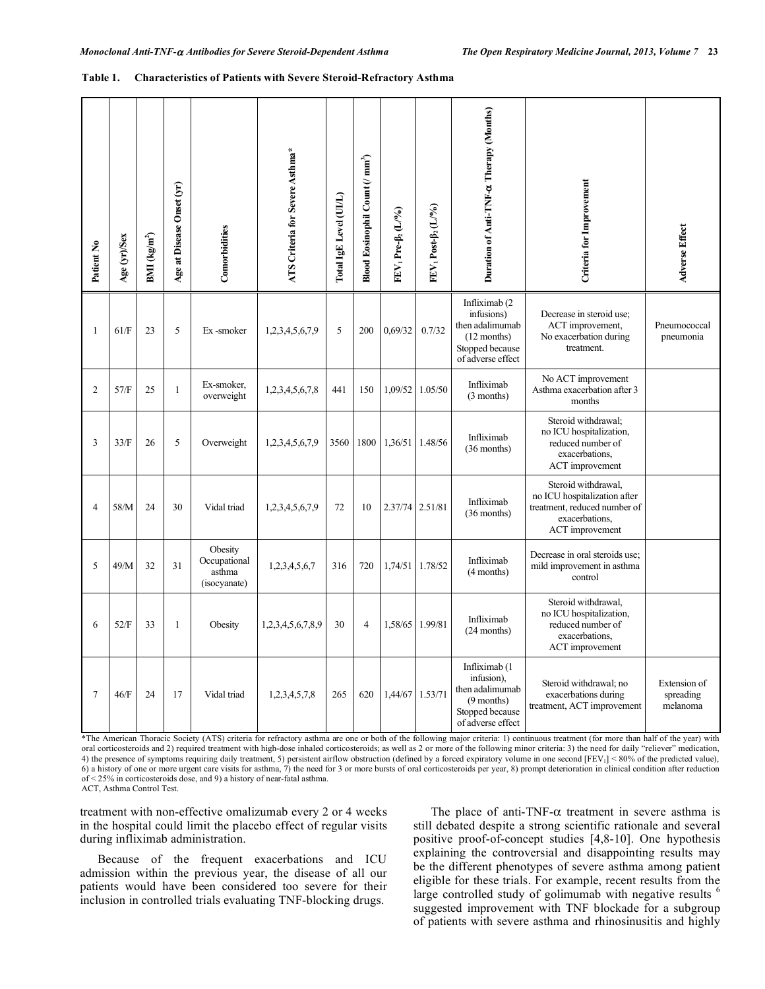| Patient No     | Age (yr)/Sex | BMI $\frac{\text{kg}}{\text{m}^2}$ | Age at Disease Onset (yr) | Comorbidities                                     | ATS Criteria for Severe Asthma* | Total IgE Level (UI/L) | Blood Eosinophil Count (/ mm <sup>3</sup> ) | FEV1 Pre-B <sub>2</sub> (L/%) | FEV <sub>1</sub> Post-B <sub>2</sub> (L/%) | Duration of Anti-TNF-a Therapy (Months)                                                                  | Criteria for Improvement                                                                                                 | <b>Adverse Effect</b>                 |
|----------------|--------------|------------------------------------|---------------------------|---------------------------------------------------|---------------------------------|------------------------|---------------------------------------------|-------------------------------|--------------------------------------------|----------------------------------------------------------------------------------------------------------|--------------------------------------------------------------------------------------------------------------------------|---------------------------------------|
| $\mathbf{1}$   | 61/F         | 23                                 | 5                         | Ex-smoker                                         | 1,2,3,4,5,6,7,9                 | 5                      | 200                                         | 0.69/32                       | 0.7/32                                     | Infliximab (2)<br>infusions)<br>then adalimumab<br>$(12$ months)<br>Stopped because<br>of adverse effect | Decrease in steroid use;<br>ACT improvement,<br>No exacerbation during<br>treatment.                                     | Pneumococcal<br>pneumonia             |
| $\overline{2}$ | 57/F         | 25                                 | $\mathbf{1}$              | Ex-smoker,<br>overweight                          | 1,2,3,4,5,6,7,8                 | 441                    | 150                                         | 1,09/52                       | 1.05/50                                    | Infliximab<br>(3 months)                                                                                 | No ACT improvement<br>Asthma exacerbation after 3<br>months                                                              |                                       |
| 3              | 33/F         | 26                                 | 5                         | Overweight                                        | 1,2,3,4,5,6,7,9                 | 3560                   | 1800                                        | 1,36/51                       | 1.48/56                                    | Infliximab<br>$(36$ months)                                                                              | Steroid withdrawal;<br>no ICU hospitalization,<br>reduced number of<br>exacerbations,<br>ACT improvement                 |                                       |
| $\overline{4}$ | 58/M         | 24                                 | 30                        | Vidal triad                                       | 1,2,3,4,5,6,7,9                 | 72                     | 10                                          | 2.37/74 2.51/81               |                                            | Infliximab<br>$(36$ months)                                                                              | Steroid withdrawal,<br>no ICU hospitalization after<br>treatment, reduced number of<br>exacerbations.<br>ACT improvement |                                       |
| 5              | 49/M         | 32                                 | 31                        | Obesity<br>Occupational<br>asthma<br>(isocyanate) | 1,2,3,4,5,6,7                   | 316                    | 720                                         | 1,74/51                       | 1.78/52                                    | Infliximab<br>$(4$ months)                                                                               | Decrease in oral steroids use:<br>mild improvement in asthma<br>control                                                  |                                       |
| 6              | 52/F         | 33                                 | $\mathbf{1}$              | Obesity                                           | 1,2,3,4,5,6,7,8,9               | 30                     | $\overline{4}$                              | 1,58/65                       | 1.99/81                                    | Infliximab<br>$(24$ months)                                                                              | Steroid withdrawal,<br>no ICU hospitalization,<br>reduced number of<br>exacerbations,<br>ACT improvement                 |                                       |
| $\overline{7}$ | 46/F         | 24                                 | 17                        | Vidal triad                                       | 1,2,3,4,5,7,8                   | 265                    | 620                                         | 1,44/67                       | 1.53/71                                    | Infliximab (1<br>infusion),<br>then adalimumab<br>$(9$ months)<br>Stopped because<br>of adverse effect   | Steroid withdrawal; no<br>exacerbations during<br>treatment, ACT improvement                                             | Extension of<br>spreading<br>melanoma |

#### **Table 1. Characteristics of Patients with Severe Steroid-Refractory Asthma**

\*The American Thoracic Society (ATS) criteria for refractory asthma are one or both of the following major criteria: 1) continuous treatment (for more than half of the year) with oral corticosteroids and 2) required treatment with high-dose inhaled corticosteroids; as well as 2 or more of the following minor criteria: 3) the need for daily "reliever" medication, 4) the presence of symptoms requiring daily treatment, 5) persistent airflow obstruction (defined by a forced expiratory volume in one second [FEV<sub>1</sub>] < 80% of the predicted value), 6) a history of one or more urgent care visits for asthma, 7) the need for 3 or more bursts of oral corticosteroids per year, 8) prompt deterioration in clinical condition after reduction of < 25% in corticosteroids dose, and 9) a history of near-fatal asthma. ACT, Asthma Control Test.

treatment with non-effective omalizumab every 2 or 4 weeks in the hospital could limit the placebo effect of regular visits during infliximab administration.

 Because of the frequent exacerbations and ICU admission within the previous year, the disease of all our patients would have been considered too severe for their inclusion in controlled trials evaluating TNF-blocking drugs.

The place of anti-TNF- $\alpha$  treatment in severe asthma is still debated despite a strong scientific rationale and several positive proof-of-concept studies [4,8-10]. One hypothesis explaining the controversial and disappointing results may be the different phenotypes of severe asthma among patient eligible for these trials. For example, recent results from the large controlled study of golimumab with negative results <sup>6</sup> suggested improvement with TNF blockade for a subgroup of patients with severe asthma and rhinosinusitis and highly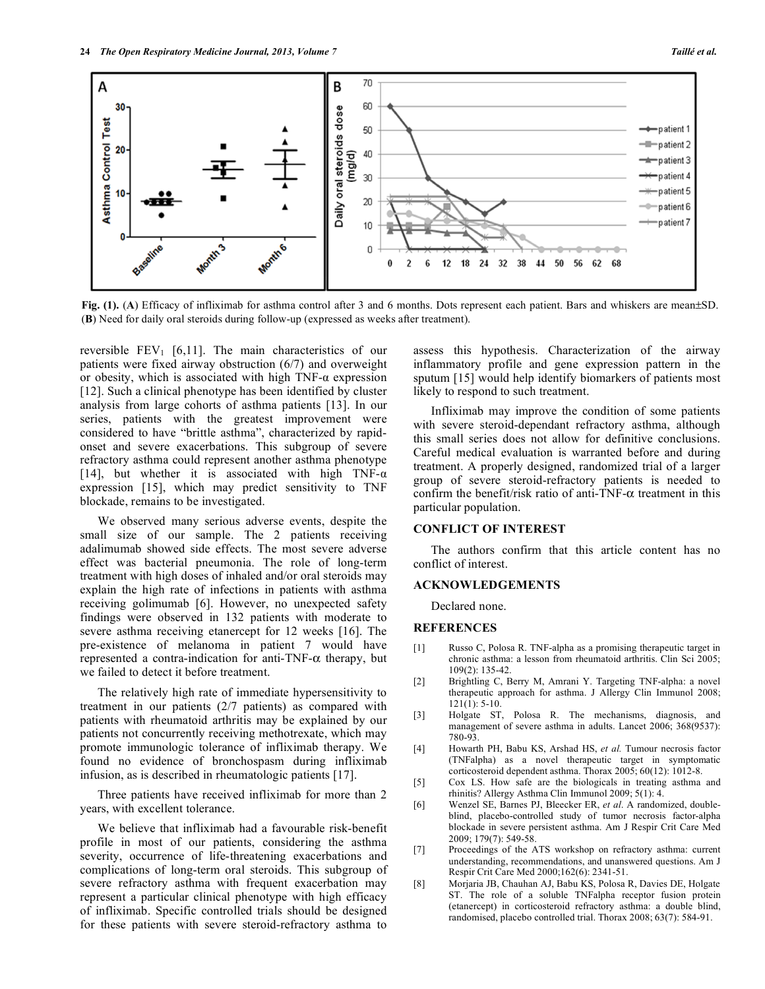

**Fig. (1).** (**A**) Efficacy of infliximab for asthma control after 3 and 6 months. Dots represent each patient. Bars and whiskers are mean±SD. (**B**) Need for daily oral steroids during follow-up (expressed as weeks after treatment).

reversible  $FEV_1$  [6,11]. The main characteristics of our patients were fixed airway obstruction (6/7) and overweight or obesity, which is associated with high  $TNF-\alpha$  expression [12]. Such a clinical phenotype has been identified by cluster analysis from large cohorts of asthma patients [13]. In our series, patients with the greatest improvement were considered to have "brittle asthma", characterized by rapidonset and severe exacerbations. This subgroup of severe refractory asthma could represent another asthma phenotype [14], but whether it is associated with high TNF- $\alpha$ expression [15], which may predict sensitivity to TNF blockade, remains to be investigated.

 We observed many serious adverse events, despite the small size of our sample. The 2 patients receiving adalimumab showed side effects. The most severe adverse effect was bacterial pneumonia. The role of long-term treatment with high doses of inhaled and/or oral steroids may explain the high rate of infections in patients with asthma receiving golimumab [6]. However, no unexpected safety findings were observed in 132 patients with moderate to severe asthma receiving etanercept for 12 weeks [16]. The pre-existence of melanoma in patient 7 would have represented a contra-indication for anti-TNF- $\alpha$  therapy, but we failed to detect it before treatment.

 The relatively high rate of immediate hypersensitivity to treatment in our patients (2/7 patients) as compared with patients with rheumatoid arthritis may be explained by our patients not concurrently receiving methotrexate, which may promote immunologic tolerance of infliximab therapy. We found no evidence of bronchospasm during infliximab infusion, as is described in rheumatologic patients [17].

 Three patients have received infliximab for more than 2 years, with excellent tolerance.

 We believe that infliximab had a favourable risk-benefit profile in most of our patients, considering the asthma severity, occurrence of life-threatening exacerbations and complications of long-term oral steroids. This subgroup of severe refractory asthma with frequent exacerbation may represent a particular clinical phenotype with high efficacy of infliximab. Specific controlled trials should be designed for these patients with severe steroid-refractory asthma to

assess this hypothesis. Characterization of the airway inflammatory profile and gene expression pattern in the sputum [15] would help identify biomarkers of patients most likely to respond to such treatment.

 Infliximab may improve the condition of some patients with severe steroid-dependant refractory asthma, although this small series does not allow for definitive conclusions. Careful medical evaluation is warranted before and during treatment. A properly designed, randomized trial of a larger group of severe steroid-refractory patients is needed to confirm the benefit/risk ratio of anti-TNF- $\alpha$  treatment in this particular population.

# **CONFLICT OF INTEREST**

 The authors confirm that this article content has no conflict of interest.

#### **ACKNOWLEDGEMENTS**

Declared none.

#### **REFERENCES**

- [1] Russo C, Polosa R. TNF-alpha as a promising therapeutic target in chronic asthma: a lesson from rheumatoid arthritis. Clin Sci 2005;  $109(2)$ : 135-42.
- [2] Brightling C, Berry M, Amrani Y. Targeting TNF-alpha: a novel therapeutic approach for asthma. J Allergy Clin Immunol 2008; 121(1): 5-10.
- [3] Holgate ST, Polosa R. The mechanisms, diagnosis, and management of severe asthma in adults. Lancet 2006; 368(9537): 780-93.
- [4] Howarth PH, Babu KS, Arshad HS, *et al.* Tumour necrosis factor (TNFalpha) as a novel therapeutic target in symptomatic corticosteroid dependent asthma. Thorax 2005; 60(12): 1012-8.
- [5] Cox LS. How safe are the biologicals in treating asthma and rhinitis? Allergy Asthma Clin Immunol 2009; 5(1): 4.
- [6] Wenzel SE, Barnes PJ, Bleecker ER, *et al*. A randomized, doubleblind, placebo-controlled study of tumor necrosis factor-alpha blockade in severe persistent asthma. Am J Respir Crit Care Med 2009; 179(7): 549-58.
- [7] Proceedings of the ATS workshop on refractory asthma: current understanding, recommendations, and unanswered questions. Am J Respir Crit Care Med 2000;162(6): 2341-51.
- [8] Morjaria JB, Chauhan AJ, Babu KS, Polosa R, Davies DE, Holgate ST. The role of a soluble TNFalpha receptor fusion protein (etanercept) in corticosteroid refractory asthma: a double blind, randomised, placebo controlled trial. Thorax 2008; 63(7): 584-91.